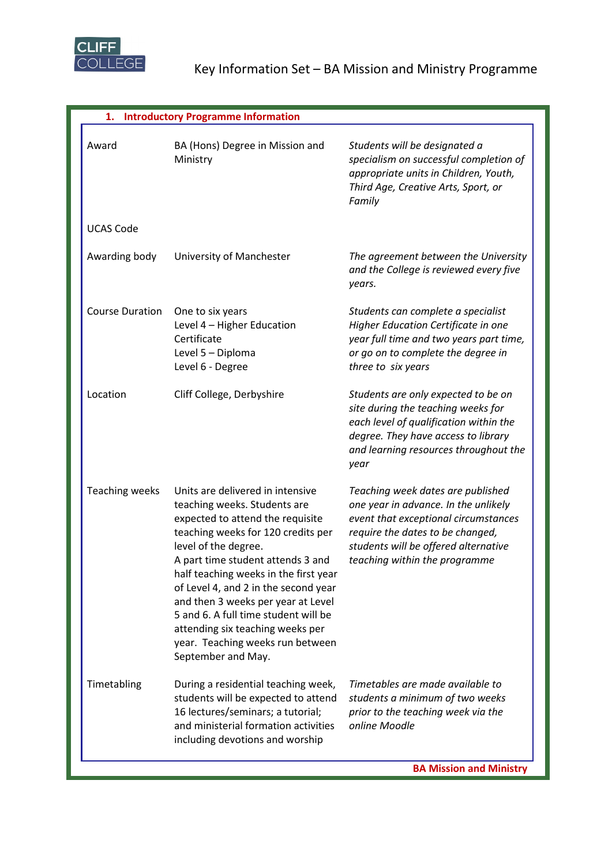

| 1. Introductory Programme Information |                                                                                                                                                                                                                                                                                                                                                                                                                                                                      |                                                                                                                                                                                                                                |  |
|---------------------------------------|----------------------------------------------------------------------------------------------------------------------------------------------------------------------------------------------------------------------------------------------------------------------------------------------------------------------------------------------------------------------------------------------------------------------------------------------------------------------|--------------------------------------------------------------------------------------------------------------------------------------------------------------------------------------------------------------------------------|--|
| Award                                 | BA (Hons) Degree in Mission and<br>Ministry                                                                                                                                                                                                                                                                                                                                                                                                                          | Students will be designated a<br>specialism on successful completion of<br>appropriate units in Children, Youth,<br>Third Age, Creative Arts, Sport, or<br>Family                                                              |  |
| <b>UCAS Code</b>                      |                                                                                                                                                                                                                                                                                                                                                                                                                                                                      |                                                                                                                                                                                                                                |  |
| Awarding body                         | University of Manchester                                                                                                                                                                                                                                                                                                                                                                                                                                             | The agreement between the University<br>and the College is reviewed every five<br>years.                                                                                                                                       |  |
| <b>Course Duration</b>                | One to six years<br>Level 4 - Higher Education<br>Certificate<br>Level 5 - Diploma<br>Level 6 - Degree                                                                                                                                                                                                                                                                                                                                                               | Students can complete a specialist<br>Higher Education Certificate in one<br>year full time and two years part time,<br>or go on to complete the degree in<br>three to six years                                               |  |
| Location                              | Cliff College, Derbyshire                                                                                                                                                                                                                                                                                                                                                                                                                                            | Students are only expected to be on<br>site during the teaching weeks for<br>each level of qualification within the<br>degree. They have access to library<br>and learning resources throughout the<br>year                    |  |
| <b>Teaching weeks</b>                 | Units are delivered in intensive<br>teaching weeks. Students are<br>expected to attend the requisite<br>teaching weeks for 120 credits per<br>level of the degree.<br>A part time student attends 3 and<br>half teaching weeks in the first year<br>of Level 4, and 2 in the second year<br>and then 3 weeks per year at Level<br>5 and 6. A full time student will be<br>attending six teaching weeks per<br>year. Teaching weeks run between<br>September and May. | Teaching week dates are published<br>one year in advance. In the unlikely<br>event that exceptional circumstances<br>require the dates to be changed,<br>students will be offered alternative<br>teaching within the programme |  |
| Timetabling                           | During a residential teaching week,<br>students will be expected to attend<br>16 lectures/seminars; a tutorial;<br>and ministerial formation activities<br>including devotions and worship                                                                                                                                                                                                                                                                           | Timetables are made available to<br>students a minimum of two weeks<br>prior to the teaching week via the<br>online Moodle                                                                                                     |  |
|                                       |                                                                                                                                                                                                                                                                                                                                                                                                                                                                      | <b>BA Mission and Ministry</b>                                                                                                                                                                                                 |  |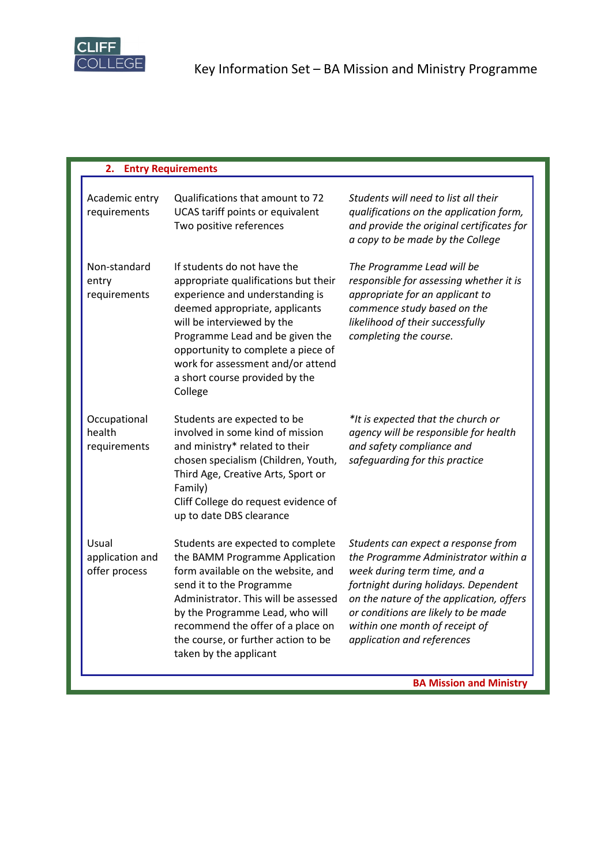

| <b>Entry Requirements</b><br>2.           |                                                                                                                                                                                                                                                                                                                                   |                                                                                                                                                                                                                                                                                                        |  |  |
|-------------------------------------------|-----------------------------------------------------------------------------------------------------------------------------------------------------------------------------------------------------------------------------------------------------------------------------------------------------------------------------------|--------------------------------------------------------------------------------------------------------------------------------------------------------------------------------------------------------------------------------------------------------------------------------------------------------|--|--|
| Academic entry<br>requirements            | Qualifications that amount to 72<br>UCAS tariff points or equivalent<br>Two positive references                                                                                                                                                                                                                                   | Students will need to list all their<br>qualifications on the application form,<br>and provide the original certificates for<br>a copy to be made by the College                                                                                                                                       |  |  |
| Non-standard<br>entry<br>requirements     | If students do not have the<br>appropriate qualifications but their<br>experience and understanding is<br>deemed appropriate, applicants<br>will be interviewed by the<br>Programme Lead and be given the<br>opportunity to complete a piece of<br>work for assessment and/or attend<br>a short course provided by the<br>College | The Programme Lead will be<br>responsible for assessing whether it is<br>appropriate for an applicant to<br>commence study based on the<br>likelihood of their successfully<br>completing the course.                                                                                                  |  |  |
| Occupational<br>health<br>requirements    | Students are expected to be<br>involved in some kind of mission<br>and ministry* related to their<br>chosen specialism (Children, Youth,<br>Third Age, Creative Arts, Sport or<br>Family)<br>Cliff College do request evidence of<br>up to date DBS clearance                                                                     | *It is expected that the church or<br>agency will be responsible for health<br>and safety compliance and<br>safeguarding for this practice                                                                                                                                                             |  |  |
| Usual<br>application and<br>offer process | Students are expected to complete<br>the BAMM Programme Application<br>form available on the website, and<br>send it to the Programme<br>Administrator. This will be assessed<br>by the Programme Lead, who will<br>recommend the offer of a place on<br>the course, or further action to be<br>taken by the applicant            | Students can expect a response from<br>the Programme Administrator within a<br>week during term time, and a<br>fortnight during holidays. Dependent<br>on the nature of the application, offers<br>or conditions are likely to be made<br>within one month of receipt of<br>application and references |  |  |
|                                           |                                                                                                                                                                                                                                                                                                                                   | <b>BA Mission and Ministry</b>                                                                                                                                                                                                                                                                         |  |  |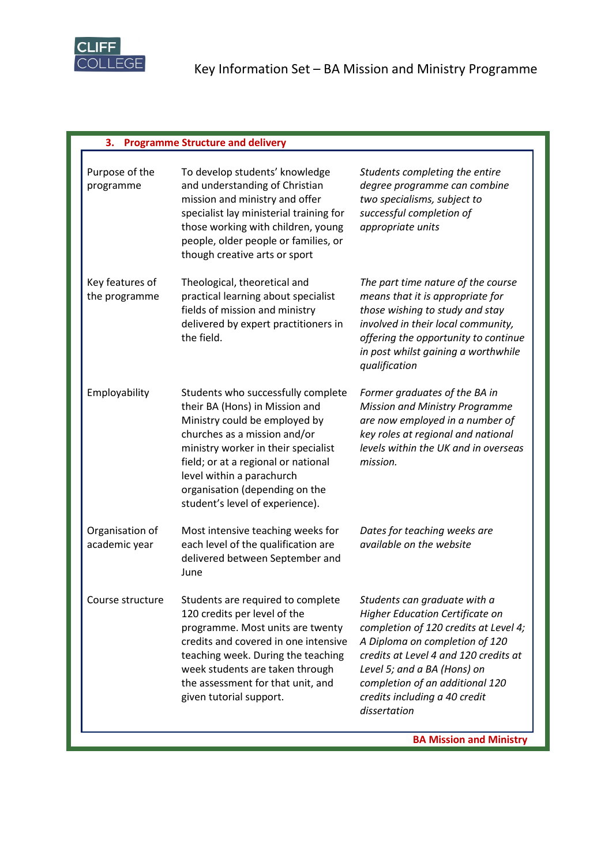

Г

## **3. Programme Structure and delivery**

| Purpose of the<br>programme      | To develop students' knowledge<br>and understanding of Christian<br>mission and ministry and offer<br>specialist lay ministerial training for<br>those working with children, young<br>people, older people or families, or<br>though creative arts or sport                                                          | Students completing the entire<br>degree programme can combine<br>two specialisms, subject to<br>successful completion of<br>appropriate units                                                                                                                                                                |
|----------------------------------|-----------------------------------------------------------------------------------------------------------------------------------------------------------------------------------------------------------------------------------------------------------------------------------------------------------------------|---------------------------------------------------------------------------------------------------------------------------------------------------------------------------------------------------------------------------------------------------------------------------------------------------------------|
| Key features of<br>the programme | Theological, theoretical and<br>practical learning about specialist<br>fields of mission and ministry<br>delivered by expert practitioners in<br>the field.                                                                                                                                                           | The part time nature of the course<br>means that it is appropriate for<br>those wishing to study and stay<br>involved in their local community,<br>offering the opportunity to continue<br>in post whilst gaining a worthwhile<br>qualification                                                               |
| Employability                    | Students who successfully complete<br>their BA (Hons) in Mission and<br>Ministry could be employed by<br>churches as a mission and/or<br>ministry worker in their specialist<br>field; or at a regional or national<br>level within a parachurch<br>organisation (depending on the<br>student's level of experience). | Former graduates of the BA in<br><b>Mission and Ministry Programme</b><br>are now employed in a number of<br>key roles at regional and national<br>levels within the UK and in overseas<br>mission.                                                                                                           |
| Organisation of<br>academic year | Most intensive teaching weeks for<br>each level of the qualification are<br>delivered between September and<br>June                                                                                                                                                                                                   | Dates for teaching weeks are<br>available on the website                                                                                                                                                                                                                                                      |
| Course structure                 | Students are required to complete<br>120 credits per level of the<br>programme. Most units are twenty<br>credits and covered in one intensive<br>teaching week. During the teaching<br>week students are taken through<br>the assessment for that unit, and<br>given tutorial support.                                | Students can graduate with a<br><b>Higher Education Certificate on</b><br>completion of 120 credits at Level 4;<br>A Diploma on completion of 120<br>credits at Level 4 and 120 credits at<br>Level 5; and a BA (Hons) on<br>completion of an additional 120<br>credits including a 40 credit<br>dissertation |
|                                  |                                                                                                                                                                                                                                                                                                                       | <b>BA Mission and Ministry</b>                                                                                                                                                                                                                                                                                |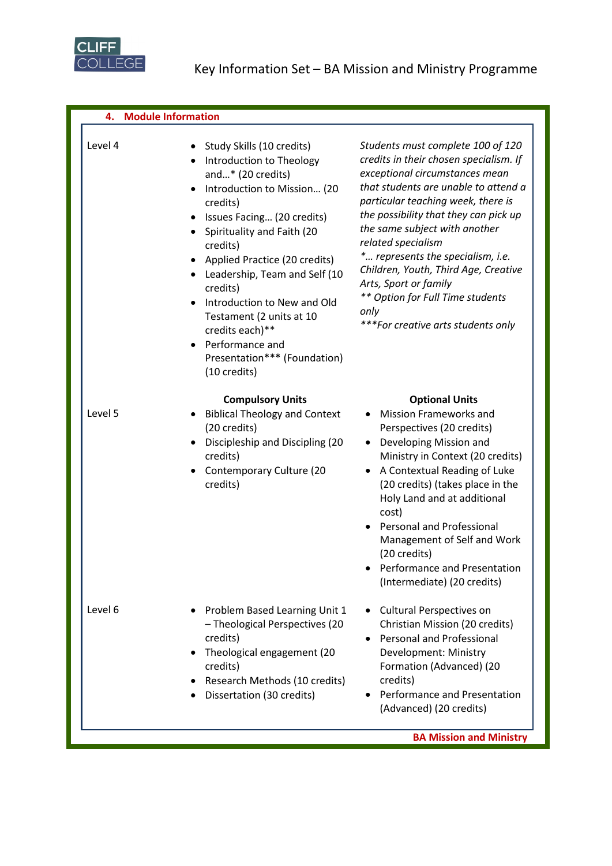

**4. Module Information** Level 4 • Study Skills (10 credits) • Introduction to Theology and…\* (20 credits) • Introduction to Mission… (20 credits) • Issues Facing… (20 credits) • Spirituality and Faith (20 credits) • Applied Practice (20 credits) • Leadership, Team and Self (10 credits) • Introduction to New and Old Testament (2 units at 10 credits each)\*\* • Performance and Presentation\*\*\* (Foundation) (10 credits) *Students must complete 100 of 120 credits in their chosen specialism. If exceptional circumstances mean that students are unable to attend a particular teaching week, there is the possibility that they can pick up the same subject with another related specialism \*… represents the specialism, i.e. Children, Youth, Third Age, Creative Arts, Sport or family \*\* Option for Full Time students only \*\*\*For creative arts students only* **Compulsory Units Compulsory Units Compulsory Units** Level 5 • Biblical Theology and Context (20 credits) • Discipleship and Discipling (20 credits) • Contemporary Culture (20 credits) • Mission Frameworks and Perspectives (20 credits) • Developing Mission and Ministry in Context (20 credits) • A Contextual Reading of Luke (20 credits) (takes place in the Holy Land and at additional cost) • Personal and Professional Management of Self and Work (20 credits) • Performance and Presentation (Intermediate) (20 credits) Level 6 • Problem Based Learning Unit 1 – Theological Perspectives (20 credits) • Theological engagement (20 credits) • Research Methods (10 credits) • Dissertation (30 credits) • Cultural Perspectives on Christian Mission (20 credits) • Personal and Professional Development: Ministry Formation (Advanced) (20 credits) • Performance and Presentation (Advanced) (20 credits)

**BA Mission and Ministry**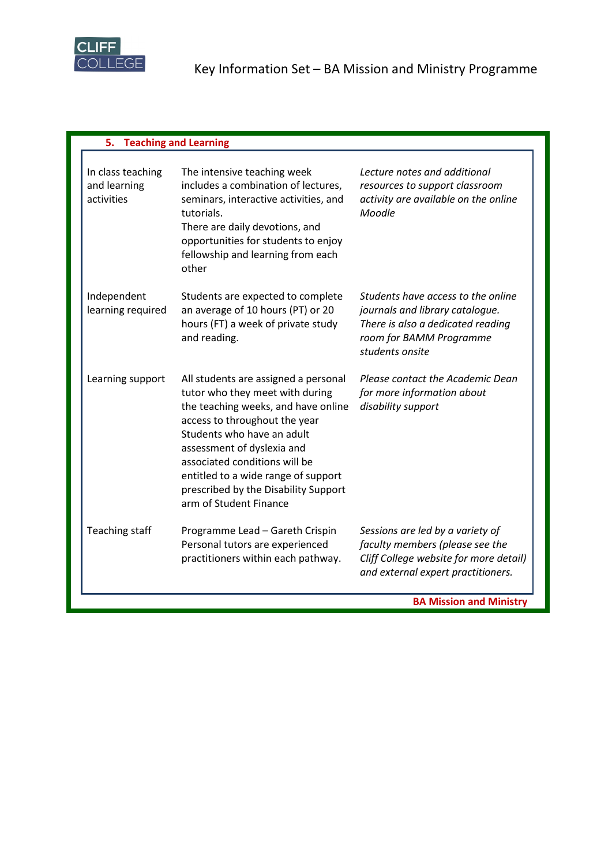

| 5.<br><b>Teaching and Learning</b>              |                                                                                                                                                                                                                                                                                                                                                       |                                                                                                                                                          |
|-------------------------------------------------|-------------------------------------------------------------------------------------------------------------------------------------------------------------------------------------------------------------------------------------------------------------------------------------------------------------------------------------------------------|----------------------------------------------------------------------------------------------------------------------------------------------------------|
| In class teaching<br>and learning<br>activities | The intensive teaching week<br>includes a combination of lectures,<br>seminars, interactive activities, and<br>tutorials.<br>There are daily devotions, and<br>opportunities for students to enjoy<br>fellowship and learning from each<br>other                                                                                                      | Lecture notes and additional<br>resources to support classroom<br>activity are available on the online<br>Moodle                                         |
| Independent<br>learning required                | Students are expected to complete<br>an average of 10 hours (PT) or 20<br>hours (FT) a week of private study<br>and reading.                                                                                                                                                                                                                          | Students have access to the online<br>journals and library catalogue.<br>There is also a dedicated reading<br>room for BAMM Programme<br>students onsite |
| Learning support                                | All students are assigned a personal<br>tutor who they meet with during<br>the teaching weeks, and have online<br>access to throughout the year<br>Students who have an adult<br>assessment of dyslexia and<br>associated conditions will be<br>entitled to a wide range of support<br>prescribed by the Disability Support<br>arm of Student Finance | Please contact the Academic Dean<br>for more information about<br>disability support                                                                     |
| <b>Teaching staff</b>                           | Programme Lead - Gareth Crispin<br>Personal tutors are experienced<br>practitioners within each pathway.                                                                                                                                                                                                                                              | Sessions are led by a variety of<br>faculty members (please see the<br>Cliff College website for more detail)<br>and external expert practitioners.      |
|                                                 |                                                                                                                                                                                                                                                                                                                                                       | <b>BA Mission and Ministry</b>                                                                                                                           |